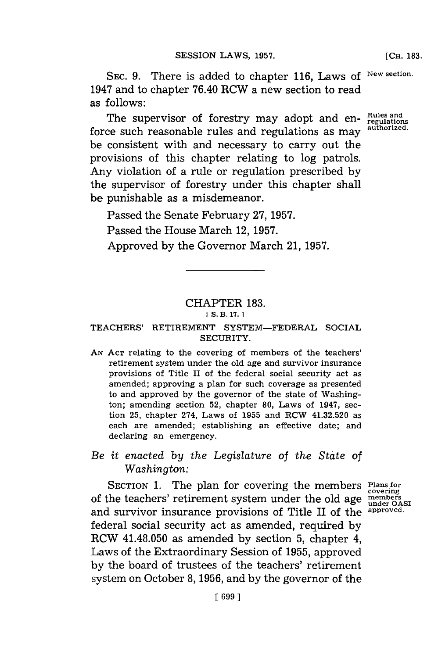**[CH. 183.**

**SEc. 9.** There is added to chapter **116,** Laws of **New section.** 1947 and to chapter 76.40 RCW a new section to read as follows:

The supervisor of forestry may adopt and en- *Rules and* consumptions as more *authorized.* force such reasonable rules and regulations as may be consistent with and necessary to carry out the provisions of this chapter relating to log patrols. Any violation of a rule or regulation prescribed **by** the supervisor of forestry under this chapter shall be punishable as a misdemeanor.

Passed the Senate February **27, 1957.**

Passed the House March 12, **1957.**

Approved **by** the Governor March 21, **1957.**

## CHAPTER **183.**

## **1S. B. 17. 1**

## **TEACHERS'** RETIREMENT SYSTEM-FEDERAL SOCIAL SECURITY.

*AN* **ACT** relating to the covering of members of the teachers' retirement system under the old age and survivor insurance provisions of Title II of the federal social security act as amended; approving a plan for such coverage as presented to and approved **by** the governor of the state of Washington; amending section **52,** chapter **80,** Laws of 1947, section **25,** chapter 274, Laws of **1955** and RCW 41.32.520 as each are amended; establishing an effective date; and declaring an emergency.

## *Be it enacted by the Legislature of the State of Washington:*

SECTION **1.** The plan for covering the members **Plans for covering** of the teachers' retirement system under the old age members and survivor insurance provisions of Title II of the **approved.** federal social security act as amended, required **by** RCW 41.48.050 as amended **by** section **5,** chapter 4, Laws of the Extraordinary Session of **1955,** approved **by** the board of trustees of the teachers' retirement system on October **8, 1956,** and **by** the governor of the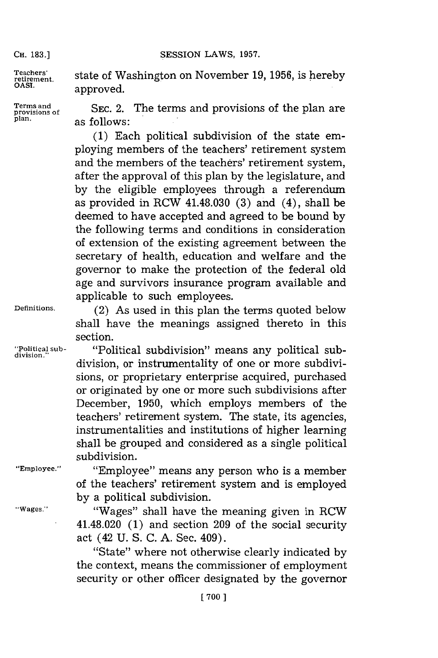CH. 183.] **SESSION LAWS, 1957.** 

Teachers'<br>retirement.  $\mathbf{a}$ .

**retirement.** state of Washington on November **19, 1956,** is hereby

**Terms and SEC. 2. The terms and provisions of the plan and plant** plant plant plant plant plant plant plant plant

**(1)** Each political subdivision of the state employing members of the teachers' retirement system and the members of the teachers' retirement system, after the approval of this plan **by** the legislature, and **by** the eligible employees through a referendum as provided in RCW 41.48.030 **(3)** and (4), shall be deemed to have accepted and agreed to be bound **by** the following terms and conditions in consideration of extension of the existing agreement between the secretary of health, education and welfare and the governor to make the protection of the federal old age and survivors insurance program available and applicable to such employees.

**Definitions.** (2) As used in this plan the terms quoted below shall have the meanings assigned thereto in this section.

**"Political sub-** "Political subdivision" means any political sub- **division."** division, or instrumentality of one or more subdivisions, or proprietary enterprise acquired, purchased or originated **by** one or more such subdivisions after December, **1950,** which employs members of the teachers' retirement system. The state, its agencies, instrumentalities and institutions of higher learning shall be grouped and considered as a single political subdivision.

**"'Employee."** "Employee" means any person who is a member of the teachers' retirement system and is employed **by** a political subdivision.

**"Wages."** "Wages" shall have the meaning given in RCW 41.48.020 **(1)** and section **209** of the social security act (42 **U. S. C. A.** Sec. 409).

"State" where not otherwise clearly indicated **by** the context, means the commissioner of employment security or other officer designated **by** the governor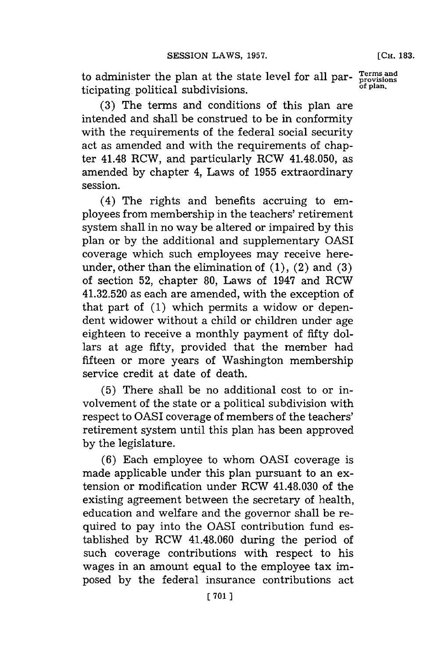to administer the plan at the state level for all par- **Trms and** ticipating. political subdivisions, **of plan.**

**(3)** The terms and conditions of this plan are intended and shall be construed to be in conformity with the requirements of the federal social security act as amended and with the requirements of chapter 41.48 RCW, and particularly RCW 41.48.050, as amended **by** chapter 4, Laws of **1955** extraordinary session.

(4) The rights and benefits accruing to employees from membership in the teachers' retirement system shall in no way be altered or impaired **by** this plan or **by** the additional and supplementary OASI coverage which such employees may receive hereunder, other than the elimination of **(1),** (2) and **(3)** of section **52,** chapter **80,** Laws of 1947 and RCW 41.32.520 as each are amended, with the exception of that part of **(1)** which permits a widow or dependent widower without a child or children under age eighteen to receive a monthly payment of fifty dollars at age fifty, provided that the member had fifteen or more years of Washington membership service credit at date of death.

**(5)** There shall be no additional cost to or involvement of the state or a political subdivision with respect to OASI coverage of members of the teachers' retirement system until this plan has been approved **by** the legislature.

**(6)** Each employee to whom OASI coverage is made applicable under this plan pursuant to an extension or modification under RCW 41.48.030 of the existing agreement between the secretary of health, education and welfare and the governor shall be required to pay into the OASI contribution fund established **by** RCW 41.48.060 during the period of such coverage contributions with respect to his wages in an amount equal to the employee tax imposed **by** the federal insurance contributions act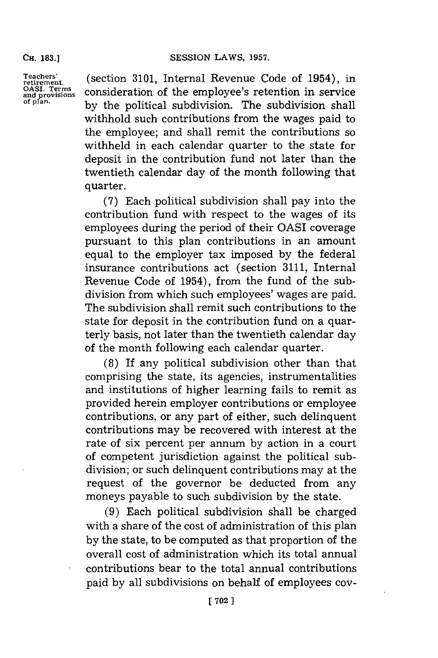**CH. 183.]**

**Teachers' retirement.**<br>OASI. Terms<br>and provision:<br>of plan.

(section **3101,** Internal Revenue Code of 1954), in consideration of the employee's retention in service **by** the political subdivision. The subdivision shall withhold such contributions from the wages paid to the employee; and shall remit the contributions so withheld in each calendar quarter to the state for deposit in the contribution fund not later than the twentieth calendar day of the month following that quarter.

**(7)** Each political subdivision shall pay into the contribution fund with respect to the wages of its employees during the period of their QASI coverage pursuant to this plan contributions in an amount equal to the employer tax imposed **by** the federal insurance contributions act (section **3111,** Internal Revenue Code of 1954), from the fund of the subdivision from which such employees' wages are paid. The subdivision shall remit such contributions to the state for deposit in the contribution fund on a quarterly basis, not later than the twentieth calendar day of the month following each calendar quarter.

**(8)** If any political subdivision other than that comprising the state, its agencies, instrumentalities and institutions of higher learning fails to remit as provided herein employer contributions or employee contributions, or any part of either, such delinquent contributions may be recovered with interest at the rate of six percent per annum **by** action in a court of competent jurisdiction against the political subdivision; or such delinquent contributions may at the request of the governor be deducted from any moneys payable to such subdivision **by** the state.

**(9)** Each political subdivision shall be charged with a share of the cost of administration of this plan **by** the state, to be computed as that proportion of the overall cost of administration which its total annual contributions bear to the total annual contributions paid **by** all subdivisions on behalf of employees coy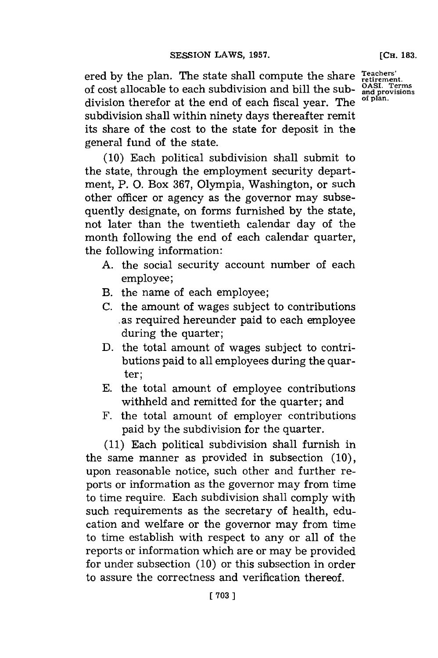ered **by** the plan. The state shall compute the share of cost allocable to each subdivision and bill the subdivision therefor at the end of each fiscal year. The subdivision shall within ninety days thereafter remit its share of the cost to the state for deposit in the general fund of the state.

**(10)** Each political subdivision shall submit to the state, through the employment security department, P. **0.** Box **367,** Olympia, Washington, or such other officer or agency as the governor may subsequently designate, on forms furnished **by** the state, not later than the twentieth calendar day of the month following the end of each calendar quarter, the following information:

- **A.** the social security account number of each employee;
- B. the name of each employee;
- **C.** the amount of wages subject to contributions as required hereunder paid to each employee during the quarter;
- **D.** the total amount of wages subject to contributions paid to all employees during the quarter;
- **E.** the total amount of employee contributions withheld and remitted for the quarter; and
- F. the total amount of employer contributions paid **by** the subdivision for the quarter.

**(11)** Each political subdivision shall furnish in the same manner as provided in subsection **(10),** upon reasonable notice, such other and further reports or information as the governor may from time to time require. Each subdivision shall comply with such requirements as the secretary of health, education and welfare or the governor may from time to time establish with respect to any or all of the reports or information which are or may be provided for under subsection **(10)** or this subsection in order to assure the correctness and verification thereof.

**Teachers' retirement. QASI. Terms and provisions of plan.**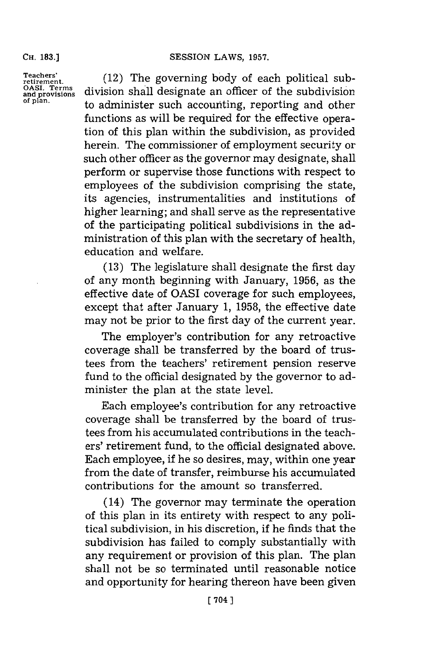**CH. 183.]**

**Teachers' retirement. OASI. Terms and provisions of plan.**

(12) The governing **body** of each political subdivision shall designate an officer of the subdivision to administer such accounting, reporting and other functions as will be required for the effective operation of this plan within the subdivision, as provided herein. The commissioner of employment security or such other officer as the governor may designate, shall perform or supervise those functions with respect to employees of the subdivision comprising the state, its agencies, instrumentalities and institutions of higher learning; and shall serve as the representative of the participating political subdivisions in the administration of this plan with the secretary of health, education and welfare.

**(13)** The legislature shall designate the first day of any month beginning with January, **1956,** as the effective date of OASI coverage for such employees, except that after January **1, 1958,** the effective date may not be prior to the first day of the current year.

The employer's contribution for any retroactive coverage shall be transferred **by** the board of trustees from the teachers' retirement pension reserve fund to the official designated **by** the governor to administer the plan at the state level.

Each employee's contribution for any retroactive coverage shall be transferred **by** the board of trustees from his accumulated contributions in the teachers' retirement fund, to the official designated above. Each employee, if he so desires, may, within one year from the date of transfer, reimburse his accumulated contributions for the amount so transferred.

(14) The governor may terminate the operation of this plan in its entirety with respect to any political subdivision, in his discretion, if he finds that the subdivision has failed to comply substantially with any requirement or provision of this plan. The plan shall not be so terminated until reasonable notice and opportunity for hearing thereon have been given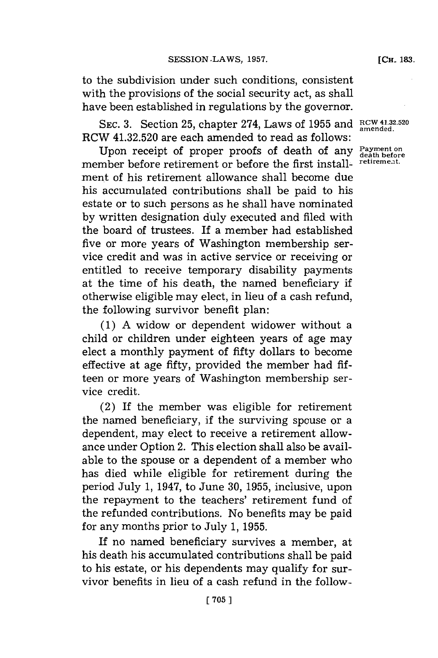to the subdivision under such conditions, consistent with the provisions of the social security act, as shall have been established in regulations **by** the governor.

SEc. **3.** Section **25,** chapter 274, Laws of **1955** and **RCW 41-32.520 amended.** RCW 41.32.520 are each amended to read as follows:

Upon receipt of proper proofs of death of any  $P_{\text{death}}$ member before retirement or before the first install- retirement. ment of his retirement allowance shall become dlue his accumulated contributions shall be paid to his estate or to such persons as he shall have nominated **by** written designation duly executed and filed with the board of trustees. If a member had established five or more years of Washington membership service credit and was in active service or receiving or entitled to receive temporary disability payments at the time of his death, the named beneficiary if otherwise eligible may elect, in lieu of a cash refund, the following survivor benefit plan:

**(1) A** widow or dependent widower without a child or children under eighteen years of age may elect a monthly payment of fifty dollars to become effective at age fifty, provided the member had **fif**teen or more years of Washington membership service credit.

(2) If the member was eligible for retirement the named beneficiary, if the surviving spouse or a dependent, may elect to receive a retirement allowance under Option 2. This election shall also be available to the spouse or a dependent of a member who has died while eligible for retirement during the period July **1,** 1947, to June **30, 1955,** inclusive, upon the repayment to the teachers' retirement fund of the refunded contributions. No benefits may be paid **for** any months prior to July **1, 1955.**

If no named beneficiary survives a member, at his death his accumulated contributions shall be paid to his estate, or his dependents may qualify for survivor benefits in lieu of a cash refund in the follow-